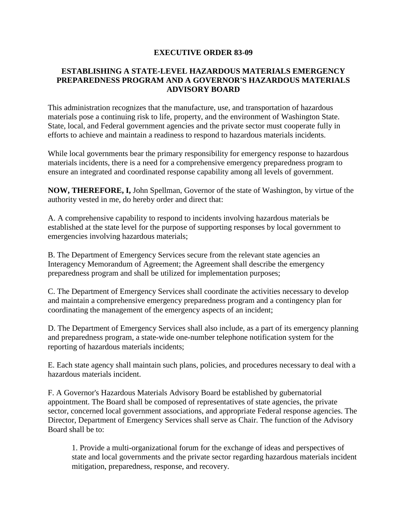## **EXECUTIVE ORDER 83-09**

## **ESTABLISHING A STATE-LEVEL HAZARDOUS MATERIALS EMERGENCY PREPAREDNESS PROGRAM AND A GOVERNOR'S HAZARDOUS MATERIALS ADVISORY BOARD**

This administration recognizes that the manufacture, use, and transportation of hazardous materials pose a continuing risk to life, property, and the environment of Washington State. State, local, and Federal government agencies and the private sector must cooperate fully in efforts to achieve and maintain a readiness to respond to hazardous materials incidents.

While local governments bear the primary responsibility for emergency response to hazardous materials incidents, there is a need for a comprehensive emergency preparedness program to ensure an integrated and coordinated response capability among all levels of government.

**NOW, THEREFORE, I,** John Spellman, Governor of the state of Washington, by virtue of the authority vested in me, do hereby order and direct that:

A. A comprehensive capability to respond to incidents involving hazardous materials be established at the state level for the purpose of supporting responses by local government to emergencies involving hazardous materials;

B. The Department of Emergency Services secure from the relevant state agencies an Interagency Memorandum of Agreement; the Agreement shall describe the emergency preparedness program and shall be utilized for implementation purposes;

C. The Department of Emergency Services shall coordinate the activities necessary to develop and maintain a comprehensive emergency preparedness program and a contingency plan for coordinating the management of the emergency aspects of an incident;

D. The Department of Emergency Services shall also include, as a part of its emergency planning and preparedness program, a state-wide one-number telephone notification system for the reporting of hazardous materials incidents;

E. Each state agency shall maintain such plans, policies, and procedures necessary to deal with a hazardous materials incident.

F. A Governor's Hazardous Materials Advisory Board be established by gubernatorial appointment. The Board shall be composed of representatives of state agencies, the private sector, concerned local government associations, and appropriate Federal response agencies. The Director, Department of Emergency Services shall serve as Chair. The function of the Advisory Board shall be to:

1. Provide a multi-organizational forum for the exchange of ideas and perspectives of state and local governments and the private sector regarding hazardous materials incident mitigation, preparedness, response, and recovery.